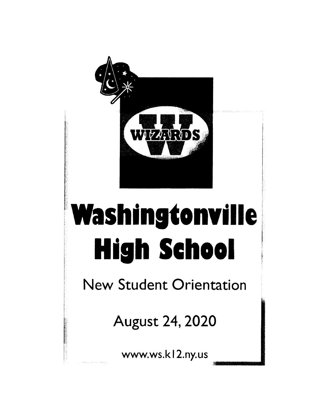

# **Washingtonville High School**

New Student Orientation

August 24, 2020

www.ws.kl 2.ny. us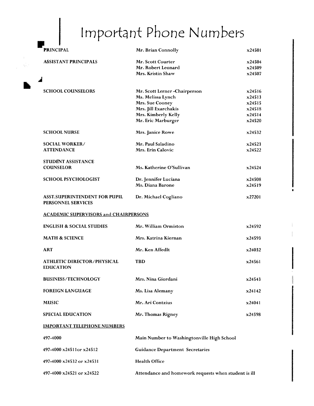# Important Phone Numbers

 $\mathcal{M}^{\mathcal{A}}$  $\langle \hat{\gamma}_{\rm{B}} \rangle_{\rm{c}}$ 

| <b>PRINCIPAL</b>                                           | Mr. Brian Connolly                                   | x24501             |
|------------------------------------------------------------|------------------------------------------------------|--------------------|
| <b>ASSISTANT PRINCIPALS</b>                                | Mr. Scott Courter                                    | x24504             |
|                                                            | Mr. Robert Leonard                                   | x24509             |
|                                                            | Mrs. Kristin Shaw                                    | x24507             |
| <b>SCHOOL COUNSELORS</b>                                   | Mr. Scott Lerner-Chairperson                         | x24516             |
|                                                            | Ms. Melissa Lynch                                    | x24513             |
|                                                            | Mrs. Sue Cooney                                      | x24515             |
|                                                            | Mrs. Jill Exarchakis                                 | x24518             |
|                                                            | Mrs. Kimberly Kelly                                  | x24514             |
|                                                            | Mr. Eric Marburger                                   | x24520             |
| <b>SCHOOL NURSE</b>                                        | Mrs. Janice Rowe                                     | x24532             |
| <b>SOCIAL WORKER/</b>                                      | Mr. Paul Saladino                                    | x24523             |
| <b>ATTENDANCE</b>                                          | Mrs. Erin Calovic                                    | x24522             |
| STUDENT ASSISTANCE                                         |                                                      |                    |
| <b>COUNSELOR</b>                                           | Ms. Katherine O'Sullivan                             | x24524             |
| <b>SCHOOL PSYCHOLOGIST</b>                                 | Dr. Jennifer Luciana                                 | x24508             |
|                                                            | Ms. Diana Barone                                     | x24519             |
| <b>ASST.SUPERINTENDENT FOR PUPIL</b><br>PERSONNEL SERVICES | Dr. Michael Cogliano                                 | $\mathbf{x}$ 27201 |
| <b>ACADEMIC SUPERVISORS and CHAIRPERSONS</b>               |                                                      |                    |
| <b>ENGLISH &amp; SOCIAL STUDIES</b>                        | Mr. William Ormiston                                 | x24592             |
| <b>MATH &amp; SCIENCE</b>                                  | Mrs. Katrina Kiernan                                 | x24593             |
| <b>ART</b>                                                 | Mr. Ken Affedlt                                      | x24032             |
| <b>ATHLETIC DIRECTOR/PHYSICAL</b><br><b>EDUCATION</b>      | <b>TBD</b>                                           | x24561             |
| <b>BUSINESS/TECHNOLOGY</b>                                 | Mrs. Nina Giordani                                   | x24543             |
| <b>FOREIGN LANGUAGE</b>                                    | Ms. Lisa Alemany                                     | x24142             |
| <b>MUSIC</b>                                               | Mr. Ari Contzius                                     | x24041             |
| <b>SPECIAL EDUCATION</b>                                   | Mr. Thomas Rigney                                    | x24598             |
| <b>IMPORTANT TELEPHONE NUMBERS</b>                         |                                                      |                    |
| 497-4000                                                   | Main Number to Washingtonville High School           |                    |
| 497-4000 x24511or x24512                                   | <b>Guidance Department Secretaries</b>               |                    |
| 497-4000 x24532 or x24531                                  | <b>Health Office</b>                                 |                    |
| 497-4000 x24521 or x24522                                  | Attendance and homework requests when student is ill |                    |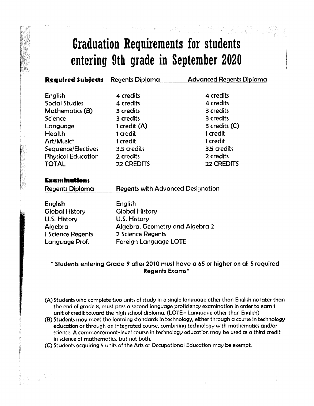### **Graduation Requirements for students entering 9th grade in September 2020**

**Required Subjects** Regents Diploma Advanced Regents Diploma

| English                   | 4 credits                         | 4 credits         |
|---------------------------|-----------------------------------|-------------------|
| Social Studies            | 4 credits                         | 4 credits         |
| <b>Mathematics (B)</b>    | 3 credits                         | 3 credits         |
| Science                   | 3 credits                         | 3 credits         |
| Language                  | 1 credit (A)                      | $3$ credits $(C)$ |
| Health                    | 1 credit                          | 1 credit          |
| Art/Music*                | 1 credit                          | 1 credit          |
| Sequence/Electives        | 3.5 credits                       | 3.5 credits       |
| <b>Physical Education</b> | 2 credits                         | 2 credits         |
| TOTAL                     | 22 CREDITS                        | 22 CREDITS        |
|                           |                                   |                   |
| <b>Examinations</b>       |                                   |                   |
| Regents Diploma           | Regents with Advanced Designation |                   |
| English                   | English                           |                   |
| <b>Global History</b>     | <b>Global History</b>             |                   |
| U.S. History              | <b>U.S. History</b>               |                   |
| Algebra                   | Algebra, Geometry and Algebra 2   |                   |
| 1 Science Regents         | 2 Science Regents                 |                   |
| Language Prof.            | Foreign Language LOTE             |                   |

#### **\* Students entering Grade 9 after 2010 must have a 65 or higher on all 5 required Regents Exams\***

- (A) Students who complete two units of study in a single language other than English no later than the end of grade **8,** must pass a second language proficiency examination in order to earn **<sup>1</sup>** unit of credit toward the high school diploma. **(LOTE—** Language other than English)
- (B) Students may meet the learning standards in technology, either through a course in technology education or through an integrated course, combining technology with mathematics and/or science. **A** commencement-level course in technology education may be used as a third credit in science of mathematics, but not both.
- (C) Students acquiring **5** units of the Arts or Occupational Education may be exempt.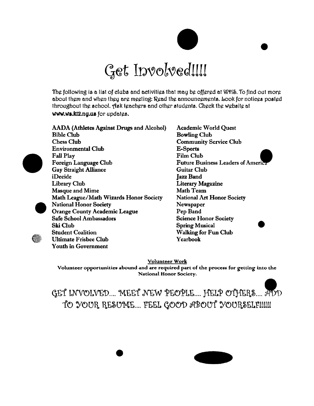

The following is a list of clubs and activities that may be offered at WM. To find out more about them and when they are meeting: Read the announcements. Look for notices posted throughout the school. Ask teachers and other students. Check the website at **www.ws.k12.ny.tus** for updates.

| AADA (Athletes Against Drugs and Alcohol) |
|-------------------------------------------|
| <b>Bible Club</b>                         |
| <b>Chess Club</b>                         |
| <b>Environmental Club</b>                 |
| <b>Fall Play</b>                          |
| <b>Foreign Language Club</b>              |
| <b>Gay Straight Alliance</b>              |
| iDecide                                   |
| <b>Library Club</b>                       |
| Masque and Mime                           |
| Math League/Math Wizards Honor Society    |
| <b>National Honor Society</b>             |
| <b>Orange County Academic League</b>      |
| Safe School Ambassadors                   |
| Ski Club                                  |
| <b>Student Coalition</b>                  |
| Ultimate Frisbee Club                     |
| <b>Youth in Government</b>                |

**Academic World Quest Bowling Club Community Service Club E-Sports Film Club Future Business Leaders of America Guitar Club Jazz Band Literary Magazine Math Team National Art Honor Society Newspaper Pep Band Science Honor Society Spring Musical Walking for Fun Club Yearbook**  •

•

**Volunteer Work** 

**Volunteer opportunities abound and are required part of the process for getting into the National Honor Society.** 

GET INVOLVED.... MEET NEW PEOPLE.... HELP OTHERS.... ADD TO YOUR RESUME.... FEEL GOOD ABOUT YOURSELFIIIII

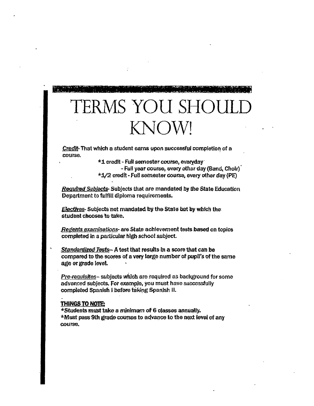# TERMS YOU SHO KNOW!

**Credit-That which a student earns upon successful completion of a** course.

credit - Full semester course, everyday'

- Full year course, every other day (Band, Choir)  $*1/2$  credit - Full semester course, every other day (PE)

*Required Subjects-* Subjects that are mandated by the State Education Department to fulfill diploma requirements.

*Flectives-* Subjects not mandated by the State but by which the: student chooses to take.

*,Regents examinations-* are State achievement tests based on topics completed in a particular high- school subject.

**Standardized Tests-A test that results in a score that can be** compared to the scores of a very large number of pupil's of the same age or grade level.

Pre-requisites- subjects which are required as background for some advanced subjects. For example, you must have successfully completed Spanish I before taking Spanish II.

#### **THINGS TO NOTE:**

\*Students *MEW take a minimum a* **<sup>6</sup>**classes annually. \*Must pass Sth grade courses to advance to the next level of any course.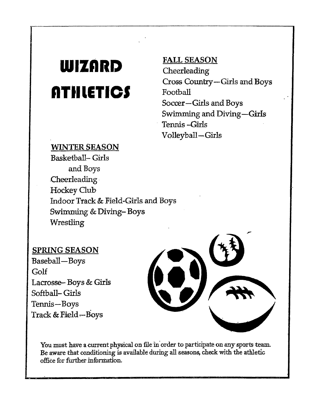# **WIZARD ATHLETICS**

#### **WINTER SEASON**

**Basketball- Girls and Boys .Cheerleading Hockey Club Indoor Track & Field-Girls and Boys Swimming & Diving- Boys Wrestling** 

#### **SPRING SEASON**

**Baseball-Boys Golf Lacrosse- Boys & Girls Softball- Girls Tennis -Boys Track & Field -- Boys** 

You must have a current physical on file in order to participate on any sports team. **Be aware that conditioning is available during all seasons, check with the athletic office for further inforniation.** 

#### **FALL SEASON**

**C.heerleading Cross Country-Girls and Boys Football Soccer-Girls and Boys Swimming and Diving-Girls Tennis -Girls Volleyball-Girls**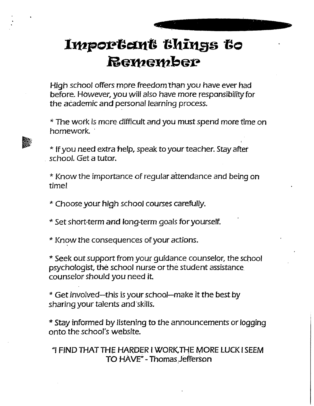## Important things to **Remember**

*oftsignalmigirs.* 

High school offers more freedom than you have ever had before. However, you *will* also have more responsibility for the academic and personal learning process.

\* The work *is* more difficult and you must spend more time on homework.

\*if you need extra help, speak to your teacher. Stay after school. Get a tutor.

\* Know the importance of regular attendance and being on time!.

\*Choose your high school courses carefully.

\*Set short-term and long-term goals for yourself.

\*Know the consequences of your actions.

\*Seek out support from your guidance counselor, the school psychologist, the school nurse or the student assistance counselor should you need it.

\*Get involved—this is your school—make it the best by sharing your talents and 'skills.

\*Stay informed by listening to the announcements or logging onto the school's website.

1 FIND THAT THE HARDER I WORK,THE MORE LUCK I SEEM TO HAVE" - Thomas Jefferson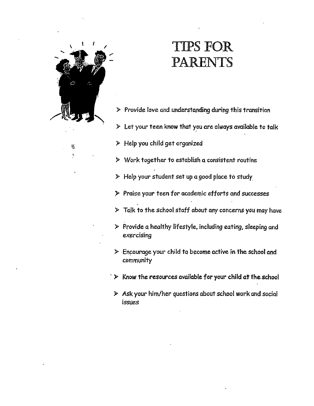

 $\frac{\partial \mathbf{y}}{\partial \mathbf{y}}$ ţ.

### IIIPS FOR PARENTS

- **> Provide love and understanding during this transition**
- **> Let your teen know that you are always available to talk**
- **• Help you child get organized**
- **• Work together to establish a consistent routine**
- **• Help your student set up a good place to study.**
- **> Praise your teen** *for* **academic efforts and successes**
- **9 Talk to the school staff about any concerns you may have**
- **D Provide a healthy lifestyle, including eating, sleeping and exercising**
- **> Encourage your child to become active in the school and community**
- **D** Know the resources available for your child at the school
- *Ask* **your him/her questions about school work and social**  *issues*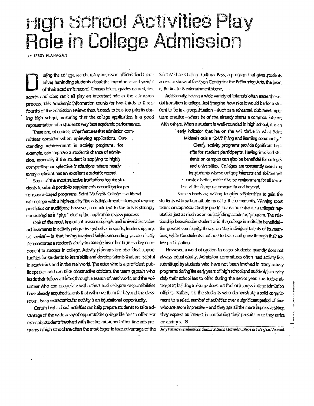# **High School Activities Play Role in College Admission**

BY JERRY FLANAGAN

uring the college search, many admission officers find themselves reminding students about the importance and weight of their academic record. Courses taken, grades earned, test scores and dass rank all play an important role in the admission process. This academic information counts for two-thirds to threefourths of the admission review, thus, it needs to be a top priority during high school, ensuring that the college application is a good representation of a student's very best academic performance.

There are, of course, other features that admission committees consider when reviewing applications. Outstanding achievement in activity programs, for example, can improve a student's chance of admission, especially if the student is applying to highly competitive or selective institutions where nearly every applicant has an excellent academic record.

Some of the most selective institutions require students to submit portfolio supplements or audition for performance-based programs. Saint Michael's College - a liberal arts college with a high-quality fibe arts department-does not require portfolios or auditions, however, commitment to the arts is strongly considered as a "plus" during the application review-process.

One of the most important reasons colleges and universities value achievements in activity programs - whether in sports, leadership, arts or service - is that being involved while succeeding academically demonstrates a student's ability to manage his or her time - a key component to success in college. Activity programs are also ideal opportunities for students to learn skills and develop talents that are helpful in academics and in the real world. The actor who is a proficient public speaker and can take constructive criticism, the team captain who leads their fellow athletes through a season of hard work, and the volunteer who can cooperate with others and delegate responsibilities have already acquired talents that will move them far beyond the classroom. Every extracurricular activity is an educational opportunity.

Certain high school activities can help prepare students to take advantage of the wide array of opportunities college life has to offer. For example, students involved with theatre, music and other fine arts programs in high school are often the most eager to take advantage of the

Saint Michael's College Cultural Pass, a program that gives students access to shows at the Flypn Center for the Performing Arts, the heart of Burlington's entertainment scene.

Additionally, having a wide variety of interests often eases the sodal transition to college. Aust imagine how nice it would be for a student to be in a group situation - such as a rehearsal, dub meeting or team practice - where he or she already shares a common interest with others. When a student is well-rounded in high school, it is an

early indicator that he or she will thrive in what Saint Midnaels calls a "24/7 fiving and learning community."

Cleany, activity programs provide significant benefits for student participants. Having involved students on campus can also be beneficial for colleges and universities. Colleges are constantly searching for students whose unique interests and abilities will - create a better, more diverse environment for all members of the campus community and beyond.

Some schools are willing to offer scholarships to gain the students who will contribute most to the community. Winning sport teams or impressive theatre productions can enhance a college's reputation just as much as an outstanding academic program. The relationship between the student and the college is inutually beneficialthe greater community thrives on the individual talents of its members, while the students continue to learn and grow through their active participation.

However, a word of caution to eager students: quantity does not always equal quality. Admission committees often read activity lists submitted by students who have not been involved in many activity programs during the early years of high school and suddenly join every cub their school has to offer during the senior year. This feeble attempt at building a résumé does not fool or impress college admission officers. Rather, it is the students who demonstrate a solid commitment to a select number of activities over a significant period of time who are more impressive - and they are all the more impressive when they express an interest in continuing their pursuits once they arrive on campus. <sup>®</sup>

Jerry Hanagan is admissions director at Saint Michael's College in Burlington, Vermont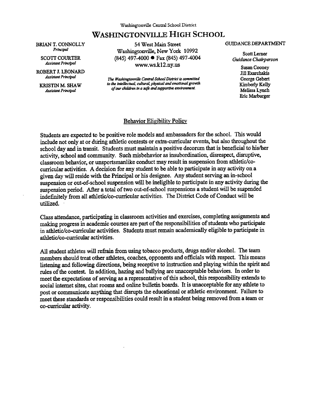**BRIAN T. CONNOLLY Principal** 

**SCOTT COURTER**  *Assistant Principal* 

**ROBERT I. LEONARD**  *Assistant Principal* 

**KRISTIN M. SHAW**  *Assistant Principal* 

54 West Main Street Washingtonville, New York 10992 (845) 497-4000 • Fax (845) 497-4004 www.ws.k12.ny.us

*The Washingtonville Central School District Is committed to the intellectua4 cultural, physical and emotional growth of our children in a safe mu supportive environment.* 

#### **GUIDANCE DEPARTMENT**

**Scott Lerner**  *Guidance Chairperson* 

> **Susan Cooney Jill Exarchalcis George Gebert Kimberly Kelly Melissa Lynch Eric Marburger**

#### Behavior Eligibility Policy

Students are expected to be positive role models and ambassadors for the school. This would include not only at or during athletic contests or extra-curricular events, but also throughout the school day and in transit. Students must maintain a positive decorum that is beneficial to his/her activity, school and community. Such misbehavior as insubordination, disrespect, disruptive, classroom behavior, or unsportsmanlike conduct may result in suspension from athletic/cocurricular activities. A decision for any student to be able to participate in any activity on a given day will reside with the Principal or his designee. Any student serving an in-school suspension or out-of-school suspension will be ineligible to participate in any activity during the suspension period. After a total of two out-of-school suspensions a student-will be suspended indefinitely from all athletic/co-curricular activities. The District Code of Conduct will be utilized.

Class attendance, participating in classroom activities and exercises, completing assignments and making progress in academic courses are part of the responsibilities of students who participate in athletic/co-curricular activities. Students must remain academically eligible to participate in athletic/co-curricular activities.

All student athletes will refrain from using tobacco products, drugs and/or alcohol. The team members should treat other athletes, coaches, opponents and officials with respect. This means listening and following directions, being receptive **to** instruction and playing within the spirit and rules of the contest. In addition, hazing and bullying are unacceptable behaviors. In order to meet the expectations of serving as a representative of this school, this responsibility extends to social internet sites, chat rooms and online bulletin boards. It is unacceptable for any athlete to post or communicate anything that disrupts the educational or athletic environment. Failure to meet these standards or responsibilities could result in a student being removed from a team or co-curricular activity.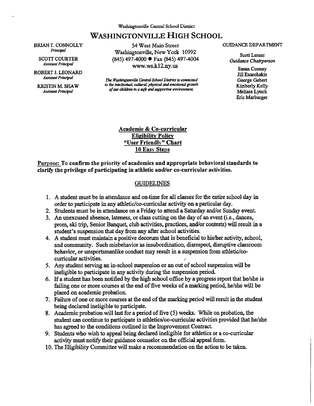**BRIAN T. CONNOLLY**  Principal

**SCOTT COURTER Assistant Principal** 

**ROBERT J. LEONARD**  *Assistant Principal* 

**KRISTIN M. SHAW Assistant Principal** 

54 West Main Street Washingtonville, New York 10992 (845) 497-4000 • Fax (845) 497-4004 www.ws.k12.ny.us

*The Washingtonvilk Central School District is committed to the intelkcimal cultural physical and emotional grawth qf our children- tn a sqft and supportive environment.* 

#### **GUIDANCE DEPARTMENT**

**Scott Lemer**  *Guidance Chairperson* 

> **Susan Cooney Jill Exarchalcis George Gebert Kimberly Kelly Melissa Lynch Eric Marburger**

**Academic & Co-curricular Eligibility Policy "User Friendly" Chart 10 Easy Steps** 

**Purpose: To confirm the priority of academics and appropriate behavioral standards to clarify the privilege of participating in athletic and/or co-curricular activities.** 

#### **GUIDELINES**

- **1. A student must be in attendance and on-time for all** classes for the entire school day in. order to participate in any athletic/co-curricular activity on a particular day.
- 2. Students must be in attendance on a Friday to attend a Saturday and/or Sunday event.
- 3. An unexcused absence, lateness, or class cutting on the day of an event (i.e., dances, prom, ski trip, Senior Banquet, club activities, practices, and/or contests) will result in a student's suspension that day from any after school activities.
- 4. A student must maintain a positive decorum that is beneficial to his/her activity, school, and community. Such misbehavior as insubordination, disrespect, disruptive classroom behavior, or unsportsmanlike conduct may result in a suspension from athletic/cocurricular activities.
- 5. Any student serving an in-school suspension or an out of school suspension will be ineligible to participate in any activity during the suspension period.
- 6. If a student has been notified by the high school office by a progress report that he/she is failing one or more courses at the end of five weeks of a marking period, he/she will be placed on academic probation.
- 7. Failure of one or more courses at the end of the marking period will result in the student being declared ineligible to participate.
- 8. Academic probation will last for a period of five (5) weeks. While on probation, the student can continue to participate in athletics/co-curricular activities provided that he/she has agreed to the conditions outlined in the Improvement Contract.
- 9. Students who wish to appeal being declared ineligible for athletics or a co-curricular activity must notify their guidance counselor on the official appeal form.
- 10.The Eligibility Committee will make a recommendation on the action to be taken.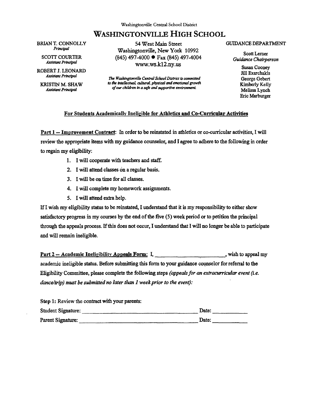**BRIAN T. CONNOLLY**  Principal

**SCOTT COURTER**  *Assistant Principal* 

**ROBERT J. LEONARD**  *Assistant Principal* 

**KRISTIN M. SHAW**  *Assistant Principal* 

**54 West Main Street Washingtonville, New York 10992 (845) 497-4000 • Fax (845) 497-4004 www.ws.k12.ny.us**

*The Washingtonville Central School District* Ls *committed to the intellectual cultural, physical and emotional growth of our children in a safe and supportive environment.* 

#### **GUIDANCE DEPARTMENT**

**Scott Lerner**  *Guidance Chairperson* 

> *Susan* **Cooney Jill Exarchakis George Gebert Kimberly Kelly Melissa Lynch Eric Marburger**

#### **For Students Academically Ineligible for Athletics and Co-Curricular Activities**

**Part 1 — Improvement Contract: In order to be reinstated in athletics or co-curricular activities, I will review the appropriate items with my guidance counselor, and I agree to adhere to the following in order to regain my eligibility:** 

- **1. I will cooperate with teachers and staff.**
- **2. I will attend classes On a regular basis.**
- **3. I will be on time for all classes.**
- **4. I will complete my homework assignments.**
- **5. I will attend extra help.**

**If I wish my eligibility status to be reinstated, I understand that it is my responsibility to either show satisfactory progress in my courses by the end of the five (5) week period or to petition the principal through the appeals process. If this does not occur, I understand that! will no longer be able to participate and will remain ineligible.** 

**Part 2 – Academic Ineligibility Appeals Form: I, the contract of the state of the state of the state of the state of the state of the state of the state of the state of the state of the state of the state of the state of academic ineligible status. Before submitting this form to your guidance counselor for referral to the Eligibility Committee, please complete the following steps** *(appeals for an extracurricular event (i.e. dance/trip) must be submitted no later than 1 week prior to the event):* 

| Step 1: Review the contract with your parents: |       |
|------------------------------------------------|-------|
| Student Signature:                             | Date: |
| Parent Signature:                              | Date: |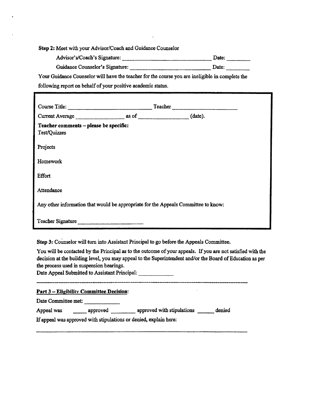**Step 2:** Meet with your Advisor/Coach and Guidance Counselor

Advisor's/Coach's Signature: Date: Date:

Guidance Counselor's Signature: Date: Date:

Your Guidance Counselor will have the teacher for the course you are ineligible in complete the following report on behalf of your positive academic status.

| Course Title:                                                                      | Teacher |  |
|------------------------------------------------------------------------------------|---------|--|
| Current Average as of (date).                                                      |         |  |
| Teacher comments - please be specific:<br>Test/Quizzes                             |         |  |
| Projects                                                                           |         |  |
| Homework                                                                           |         |  |
| <b>Effort</b>                                                                      |         |  |
| Attendance                                                                         |         |  |
| Any other information that would be appropriate for the Appeals Committee to know: |         |  |
| Teacher Signature                                                                  |         |  |

**Step 3:** Counselor will turn into Assistant Principal to go before the Appeals Committee.

You will be contacted by the Principal as to the outcome of your appeals. If you are not satisfied with the decision at the building level, you may appeal to the Superintendent and/or the Board of Education as per the process used in suspension hearings.

Date Appeal Submitted to Assistant Principal:

**Part 3— Eligibility Committee Decision:** 

**Date Committee met:** 

Appeal was \_\_\_\_\_\_\_ approved \_\_\_\_\_\_\_\_ approved with stipulations \_\_\_\_\_\_ denied

**If appeal was approved with stipulations or denied, explain here:**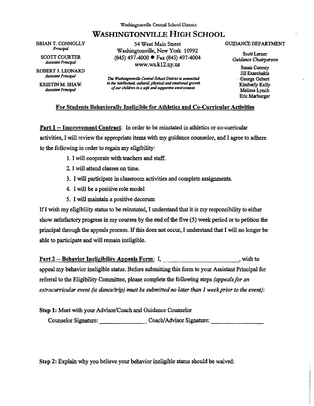**BRIAN T. CONNOLLY**  *Principal* 

> **SCOTT COURTER**  *Assistant Principal*

**ROBERT J. LEONARD**  *Assistant Principal* 

**KRISTIN M. SHAW**  *Assistant Principal* 

**54 West Main Street Wasiiingtonville, New York 10992 (845) 497-4000 • Fax (845) 497-4004**  www.ws.k12.ny.us

*The Washingtonvilk Central School District is committed to the intellectuaL cultural, physical and emotional growth*  of our children in a safe and supportive environment.

#### **GUIDANCE DEPARTMENT**

**Scott Lerner**  *Guidance Chairperson* 

> **Susan Cooney Jill Exarchakis • George Gebert Kimberly Kelly Melissa Lynch Eric Marburger**

#### **For Students Behaviorally Ineligible for Athletics and Co-Curricular Activities**

**Part 1 -- Improvement Contract: In order to** be reinstated in athletics or co-curricular activities, I will review the appropriate items with my guidance counselor, and I agree to adhere to the following in order to regain my eligibility:

- 1.I will cooperate with teachers and staff.
- 2.I will attend classes on time.
- 3. I will participate in classroom activities and complete assignments.
- 4. I will be a positive role model
- 5. I will maintain a positive decorum

If I wish my eligibility status to be reinstated, I understand that it is my responsibility to either show satisfactory progress in my courses by the end of the five (5) week period or to petition the principal through the appeals process. If this does not occur, I understand thst **I** will no longer be able to participate and will remain ineligible.

Part 2-- **Behavior Ineligibility Appeals Form: I, wish** to

appeal my behavior ineligible status: Before submitting this form to your Assistant Principal for referral to the Eligibility Committee, please complete the following steps *(appeals for an extracurricular event (ie dance/trip) must be submitted no later than I week prior to the event):* 

**Step 1: Meet** with your Advisor/Coach and Guidance Counselor

Counselor Signature: Coach/Advisor Signature:

Step 2: Explain why you believe your behavior ineligible status should be waived: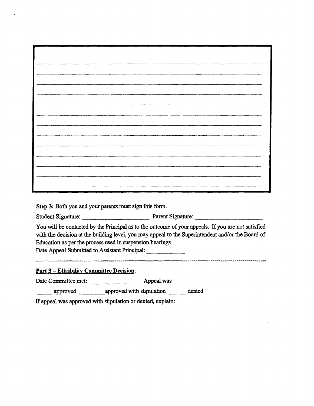**Step 3: Both you and your parents must sign this form.** 

Student Signature: <u>Parent Signature:</u> Parent Signature:

**You will be contacted by the Principal as to the outcome of your appeals. If you are not satisfied with the decision at the building level, you may appeal to the Superintendent and/or the Board of Education as per the process used in suspension hearings.** 

**Date Appeal Submitted to Assistant Principal:** 

**Part 3— Eligibility Committee Decision:** 

Date Committee met: **Appeal .was** 

**approved approved with stipulation denied** 

**If appeal was approved with stipulation or denied, explain:**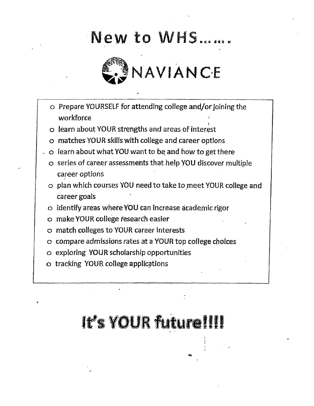# New to WHS....



- o Prepare YOURSELF for attending college and/or joining the workforce
- o learn about YOUR strengths and areas of interest
- matches YOUR skills with college and career options
- $\sim$  0 learn about what YOU want to be and how to get there
	- •o series of career assessments that help YOU discover multiple career options
	- o plan which courses YOU need to take to meet YOUR college and career goals
	- o identify areas where YOU can incrase academic rigor
	- o make YOUR college research easier
	- o match colleges to YOUR career interests
	- o compare admissions rates at a YOUR top college choices
	- o exploring YOUR scholarship opportunities
	- o tracking YOUR college applications

# It's YOUR future!!!!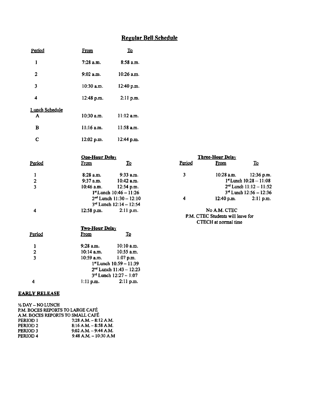#### **Regular Bell Schedule**

| Period                  | <b>From</b>    | $\mathbf{\Omega}$ |        |                  |                         |
|-------------------------|----------------|-------------------|--------|------------------|-------------------------|
| 1                       | 7:28 a.m.      | 8:58 a.m.         |        |                  |                         |
| $\overline{\mathbf{c}}$ | 9:02 a.m.      | 10:26 a.m.        |        |                  |                         |
| 3                       | 10:30 a.m.     | 12:40 p.m.        |        |                  |                         |
| 4                       | 12:48 p.m.     | $2:11$ p.m.       |        |                  |                         |
| <b>Lunch Schedule</b>   |                |                   |        |                  |                         |
| A                       | 10:30 a.m.     | $11:12$ a.m.      |        |                  |                         |
| B                       | $11:16$ a.m.   | 11:58 a.m.        |        |                  |                         |
| $\mathbf c$             | 12:02 p.m.     | 12:44 p.m.        |        |                  |                         |
|                         | One-Hour Delay |                   |        | Three-Hour Delay |                         |
| Period                  | <b>From</b>    | $\mathbf{\Omega}$ | Period | <b>From</b>      | $\overline{\mathbf{r}}$ |
| $\mathbf{1}$            | 8:28 a.m.      | 9:33 a.m.         | 3      | 10:28 a.m.       | 12:36                   |

|                | 8:28 а.п.    | <u>узэн п.</u>                 |
|----------------|--------------|--------------------------------|
| $\overline{2}$ | $9:37$ a.m.  | $10:42$ a.m.                   |
| 3              | $10:46$ a.m. | $12:54$ p.m.                   |
|                |              | $1st$ Lunch $10:46 - 11:26$    |
|                |              | $2nd$ Lunch $11:30 - 12:10$    |
|                |              | $3^{rd}$ Lunch $12:14 - 12:54$ |
|                | $12:58$ p.m. | $2:11$ p.m.                    |
|                |              |                                |

#### **Two-Hour Delav Period from IQ 1 9:28 a.m. 10:10 a.m. 2 10:14 a.m. 10:55 a.m.**

|   | 10:59 a.m. $1:07$ p.m. |                               |
|---|------------------------|-------------------------------|
|   |                        | $1*$ Lunch $10:59 - 11:39$    |
|   |                        | $2nd$ Lunch 11:43 - 12:23     |
|   |                        | $3^{rd}$ Lunch $12:27 - 1:07$ |
| 4 | $1:11$ p.m.            | $2:11$ p.m.                   |

#### **EARLY RELEASE**

| 1/2 DAY - NO LUNCH  |                                  |
|---------------------|----------------------------------|
|                     | P.M. BOCES REPORTS TO LARGE CAFÉ |
|                     | A.M. BOCES REPORTS TO SMALL CAFÉ |
| PERIOD 1            | $7:28$ A.M. $-8:12$ A.M.         |
| PERIOD <sub>2</sub> | $8:16$ A.M. $-8:58$ A.M.         |
| <b>PERIOD 3</b>     | $9:02$ A.M. $-9:44$ A.M.         |
| <b>PERIOD 4</b>     | $9:48$ A.M. $-10:30$ A.M.        |
|                     |                                  |

| <b>One-Hour Delay</b> |                             |        | <b>Three-Hour Delay</b> |                                |
|-----------------------|-----------------------------|--------|-------------------------|--------------------------------|
| <u>From</u>           | To                          | Period | From                    | <u>To</u>                      |
| 8:28 a.m.             | $9:33$ a.m.                 | 3      | $10:28$ a.m.            | $12:36$ p.m.                   |
| $9:37$ a.m.           | $10:42$ a.m.                |        |                         | $1*$ Lunch $10:28 - 11:08$     |
| $10:46$ a.m.          | $12:54$ p.m.                |        |                         | $2^{nd}$ Lunch $11:12 - 11:52$ |
|                       | $1st$ Lunch $10:46 - 11:26$ |        |                         | $3rd$ Lunch 12:56 - 12:36      |
|                       | $2nd$ Lunch $11:30 - 12:10$ | 4      | $12:40$ p.m.            | $2:11$ p.m.                    |
|                       |                             |        |                         |                                |

No **A.M. CTEC P.M. CTEC Students will leave for CTECH at normal time**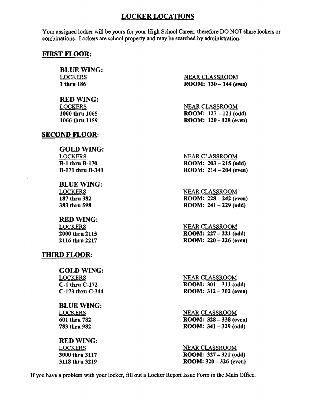#### **LOCKER LOCATIONS**

Your assigned locker will be yours for your High School Career, therefore DO NOT share lockers or combinations. Lockers are school property and may be searched by administration.

#### **FIRST FLOOR:**

**BLUE WING:**  LOCKERS **1 thru 186** 

**RED WING:**  LOCKERS **1000 thru 1065 1066 thru 1159** 

#### **SECOND FLOOR:**

**GOLD WING:**  LOCKERS **B-1 thru B-170 B-171 thru B-340** 

**BLUE WING:**  LOCKERS **187 thru 382 383 thru 598** 

**RED WING:**  LOCKERS **2000 thru 2115 2116 thru 2217** 

#### **THIRD FLOOR:**

**GOLD WING:**  LOCKERS **C-1 thru C-172 C-173 thru C-344** 

**BLUE WING:**  LOCKERS **601 thru 782 783 thru 982** 

#### **REDWING:**  LOCKERS

**3000 thru 3117 3118 thru 3219**  NEAR CLASSROOM **ROOM: 130 — 144 (even)** 

NEAR CLASSROOM **ROOM: 127 — 121 (odd) ROOM: 120 - 128 (even)** 

NEAR CLASSROOM **ROOM: 203 —215 (odd) ROOM: 214 — 204 (even)** 

NEAR CLASSROOM **ROOM: 228 — 242 (even) ROOM: 241 — 229 (odd)** 

**NEAR CLASSROOM ROOM: 227 — 221 (odd) ROOM: 220 —226 (even)** 

**NEAR** CLASSROOM **ROOM: 301 —311 (odd) ROOM: 312 —302 (even)** 

NEAR CLASSROOM **ROOM: 328 — 338 (even) ROOM: 341 — 329 (odd)** 

NEAR CLASSROOM **ROOM: 327 — 321 (odd) ROOM: 320 — 326** *(even)* 

If you have a problem with your locker, fill out a Locker Report Issue Form in the Main Office.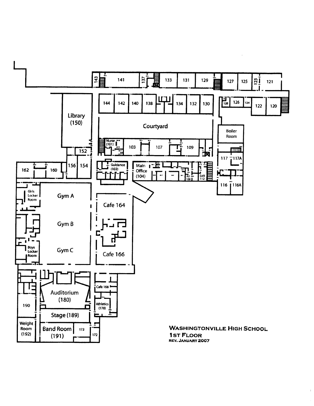

 $\bar{1}$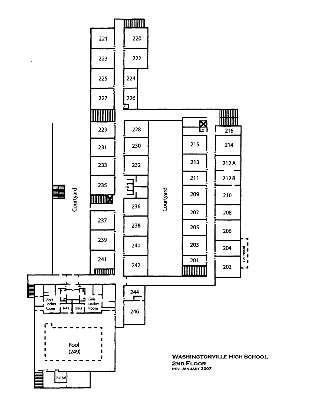